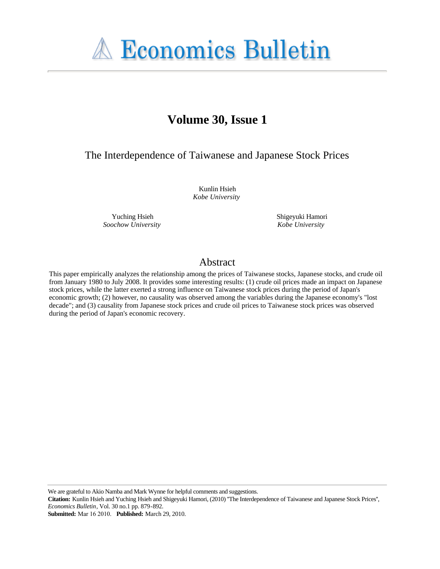

# **Volume 30, Issue 1**

The Interdependence of Taiwanese and Japanese Stock Prices

Kunlin Hsieh *Kobe University*

Yuching Hsieh *Soochow University* Shigeyuki Hamori *Kobe University*

# Abstract

This paper empirically analyzes the relationship among the prices of Taiwanese stocks, Japanese stocks, and crude oil from January 1980 to July 2008. It provides some interesting results: (1) crude oil prices made an impact on Japanese stock prices, while the latter exerted a strong influence on Taiwanese stock prices during the period of Japan's economic growth; (2) however, no causality was observed among the variables during the Japanese economy's "lost decade"; and (3) causality from Japanese stock prices and crude oil prices to Taiwanese stock prices was observed during the period of Japan's economic recovery.

We are grateful to Akio Namba and Mark Wynne for helpful comments and suggestions.

**Citation:** Kunlin Hsieh and Yuching Hsieh and Shigeyuki Hamori, (2010) ''The Interdependence of Taiwanese and Japanese Stock Prices'', *Economics Bulletin*, Vol. 30 no.1 pp. 879-892.

**Submitted:** Mar 16 2010. **Published:** March 29, 2010.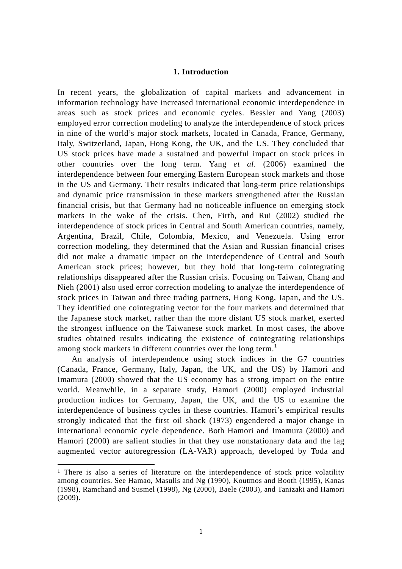### **1. Introduction**

In recent years, the globalization of capital markets and advancement in information technology have increased international economic interdependence in areas such as stock prices and economic cycles. Bessler and Yang (2003) employed error correction modeling to analyze the interdependence of stock prices in nine of the world's major stock markets, located in Canada, France, Germany, Italy, Switzerland, Japan, Hong Kong, the UK, and the US. They concluded that US stock prices have made a sustained and powerful impact on stock prices in other countries over the long term. Yang *et al.* (2006) examined the interdependence between four emerging Eastern European stock markets and those in the US and Germany. Their results indicated that long-term price relationships and dynamic price transmission in these markets strengthened after the Russian financial crisis, but that Germany had no noticeable influence on emerging stock markets in the wake of the crisis. Chen, Firth, and Rui (2002) studied the interdependence of stock prices in Central and South American countries, namely, Argentina, Brazil, Chile, Colombia, Mexico, and Venezuela. Using error correction modeling, they determined that the Asian and Russian financial crises did not make a dramatic impact on the interdependence of Central and South American stock prices; however, but they hold that long-term cointegrating relationships disappeared after the Russian crisis. Focusing on Taiwan, Chang and Nieh (2001) also used error correction modeling to analyze the interdependence of stock prices in Taiwan and three trading partners, Hong Kong, Japan, and the US. They identified one cointegrating vector for the four markets and determined that the Japanese stock market, rather than the more distant US stock market, exerted the strongest influence on the Taiwanese stock market. In most cases, the above studies obtained results indicating the existence of cointegrating relationships among stock markets in different countries over the long term.<sup>1</sup>

An analysis of interdependence using stock indices in the G7 countries (Canada, France, Germany, Italy, Japan, the UK, and the US) by Hamori and Imamura (2000) showed that the US economy has a strong impact on the entire world. Meanwhile, in a separate study, Hamori (2000) employed industrial production indices for Germany, Japan, the UK, and the US to examine the interdependence of business cycles in these countries. Hamori's empirical results strongly indicated that the first oil shock (1973) engendered a major change in international economic cycle dependence. Both Hamori and Imamura (2000) and Hamori (2000) are salient studies in that they use nonstationary data and the lag augmented vector autoregression (LA-VAR) approach, developed by Toda and

-

<sup>&</sup>lt;sup>1</sup> There is also a series of literature on the interdependence of stock price volatility among countries. See Hamao, Masulis and Ng (1990), Koutmos and Booth (1995), Kanas (1998), Ramchand and Susmel (1998), Ng (2000), Baele (2003), and Tanizaki and Hamori (2009).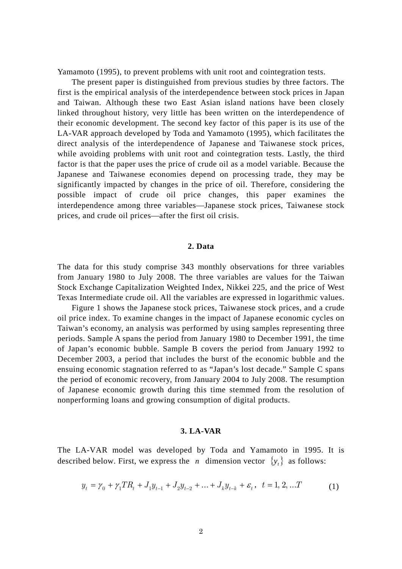Yamamoto (1995), to prevent problems with unit root and cointegration tests.

The present paper is distinguished from previous studies by three factors. The first is the empirical analysis of the interdependence between stock prices in Japan and Taiwan. Although these two East Asian island nations have been closely linked throughout history, very little has been written on the interdependence of their economic development. The second key factor of this paper is its use of the LA-VAR approach developed by Toda and Yamamoto (1995), which facilitates the direct analysis of the interdependence of Japanese and Taiwanese stock prices, while avoiding problems with unit root and cointegration tests. Lastly, the third factor is that the paper uses the price of crude oil as a model variable. Because the Japanese and Taiwanese economies depend on processing trade, they may be significantly impacted by changes in the price of oil. Therefore, considering the possible impact of crude oil price changes, this paper examines the interdependence among three variables—Japanese stock prices, Taiwanese stock prices, and crude oil prices—after the first oil crisis.

#### **2. Data**

The data for this study comprise 343 monthly observations for three variables from January 1980 to July 2008. The three variables are values for the Taiwan Stock Exchange Capitalization Weighted Index, Nikkei 225, and the price of West Texas Intermediate crude oil. All the variables are expressed in logarithmic values.

Figure 1 shows the Japanese stock prices, Taiwanese stock prices, and a crude oil price index. To examine changes in the impact of Japanese economic cycles on Taiwan's economy, an analysis was performed by using samples representing three periods. Sample A spans the period from January 1980 to December 1991, the time of Japan's economic bubble. Sample B covers the period from January 1992 to December 2003, a period that includes the burst of the economic bubble and the ensuing economic stagnation referred to as "Japan's lost decade." Sample C spans the period of economic recovery, from January 2004 to July 2008. The resumption of Japanese economic growth during this time stemmed from the resolution of nonperforming loans and growing consumption of digital products.

#### **3. LA-VAR**

The LA-VAR model was developed by Toda and Yamamoto in 1995. It is described below. First, we express the *n* dimension vector  $\{y_t\}$  as follows:

$$
y_t = \gamma_0 + \gamma_1 TR_t + J_1 y_{t-1} + J_2 y_{t-2} + \dots + J_k y_{t-k} + \varepsilon_t, \quad t = 1, 2, \dots T
$$
 (1)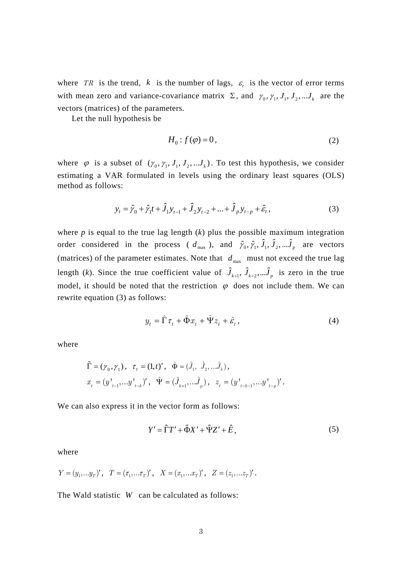where *TR* is the trend, *k* is the number of lags,  $\varepsilon$  is the vector of error terms with mean zero and variance-covariance matrix  $\Sigma$ , and  $\gamma_0, \gamma_1, J_1, J_2, \dots, J_k$  are the vectors (matrices) of the parameters.

Let the null hypothesis be

$$
H_0: f(\varphi) = 0,\t(2)
$$

where  $\varphi$  is a subset of  $(\gamma_0, \gamma_1, J_1, J_2, \ldots, J_k)$ . To test this hypothesis, we consider estimating a VAR formulated in levels using the ordinary least squares (OLS) method as follows:

$$
y_t = \hat{y}_0 + \hat{y}_1 t + \hat{J}_1 y_{t-1} + \hat{J}_2 y_{t-2} + \dots + \hat{J}_p y_{t-p} + \hat{\varepsilon}_t,
$$
\n(3)

where  $p$  is equal to the true lag length  $(k)$  plus the possible maximum integration order considered in the process (  $d_{\text{max}}$  ), and  $\hat{\gamma}_0, \hat{\gamma}_1, \hat{\jmath}_2, \dots, \hat{\jmath}_p$  are vectors (matrices) of the parameter estimates. Note that  $d_{\text{max}}$  must not exceed the true lag length (*k*). Since the true coefficient value of  $\hat{J}_{k+1}$ ,  $\hat{J}_{k+2}$ ,  $\hat{J}_{p}$  is zero in the true model, it should be noted that the restriction  $\varphi$  does not include them. We can rewrite equation (3) as follows:

$$
y_t = \hat{\Gamma}\tau_t + \hat{\Phi}x_t + \hat{\Psi}z_t + \hat{\varepsilon}_t, \tag{4}
$$

where

$$
\begin{aligned} &\hat{\Gamma} = (\gamma_0, \gamma_1) \, , \ \ \tau_{_t} = (1, t)' \, , \ \ \hat{\Phi} = (\hat{J}_1, \ \hat{J}_2, \ldots \hat{J}_k) \, , \\ &x_{_t} = \big( y^+_{t-1}, \ldots y^+_{t-k} \big)' \, , \ \ \hat{\Psi} = (\hat{J}_{_{k+1}}, \ldots \hat{J}_{_{p}}) \, , \ \ z_{_t} = \big( y^+_{_{t-k-1}}, \ldots y^+_{_{t-p}} \big)' \, . \end{aligned}
$$

We can also express it in the vector form as follows:

$$
Y' = \hat{\Gamma}T' + \hat{\Phi}X' + \hat{\Psi}Z' + \hat{E},\tag{5}
$$

where

$$
Y = (y_1, ... y_T)'
$$
,  $T = (\tau_1, ... \tau_T)'$ ,  $X = (x_1, ... x_T)'$ ,  $Z = (z_1, ... z_T)'$ .

The Wald statistic *W* can be calculated as follows: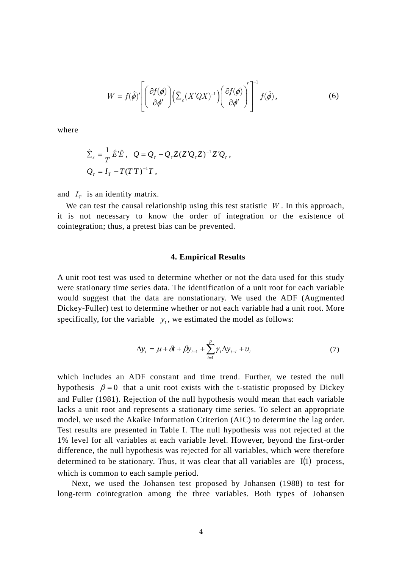$$
W = f(\hat{\phi})' \left[ \left( \frac{\partial f(\phi)}{\partial \phi'} \right) \left( \hat{\Sigma}_{\varepsilon} (X'QX)^{-1} \right) \left( \frac{\partial f(\phi)}{\partial \phi'} \right)' \right]^{-1} f(\hat{\phi}), \tag{6}
$$

where

$$
\hat{\Sigma}_\varepsilon = \frac{1}{T} \hat{E}' \hat{E} , \quad Q = Q_\tau - Q_\tau Z (Z' Q_\tau Z)^{-1} Z' Q_\tau ,
$$
  

$$
Q_\tau = I_T - T (T' T)^{-1} T ,
$$

and  $I_T$  is an identity matrix.

We can test the causal relationship using this test statistic *W* . In this approach, it is not necessary to know the order of integration or the existence of cointegration; thus, a pretest bias can be prevented.

#### **4. Empirical Results**

A unit root test was used to determine whether or not the data used for this study were stationary time series data. The identification of a unit root for each variable would suggest that the data are nonstationary. We used the ADF (Augmented Dickey-Fuller) test to determine whether or not each variable had a unit root. More specifically, for the variable  $y_t$ , we estimated the model as follows:

$$
\Delta y_t = \mu + \delta t + \beta y_{t-1} + \sum_{i=1}^p \gamma_i \Delta y_{t-i} + u_t
$$
\n(7)

which includes an ADF constant and time trend. Further, we tested the null hypothesis  $\beta = 0$  that a unit root exists with the t-statistic proposed by Dickey and Fuller (1981). Rejection of the null hypothesis would mean that each variable lacks a unit root and represents a stationary time series. To select an appropriate model, we used the Akaike Information Criterion (AIC) to determine the lag order. Test results are presented in Table I. The null hypothesis was not rejected at the 1% level for all variables at each variable level. However, beyond the first-order difference, the null hypothesis was rejected for all variables, which were therefore determined to be stationary. Thus, it was clear that all variables are  $I(1)$  process, which is common to each sample period.

Next, we used the Johansen test proposed by Johansen (1988) to test for long-term cointegration among the three variables. Both types of Johansen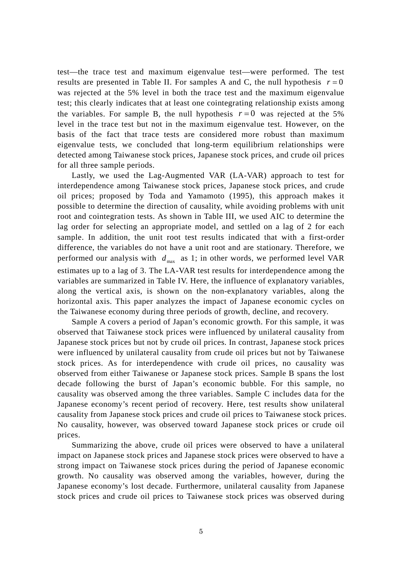test—the trace test and maximum eigenvalue test—were performed. The test results are presented in Table II. For samples A and C, the null hypothesis  $r = 0$ was rejected at the 5% level in both the trace test and the maximum eigenvalue test; this clearly indicates that at least one cointegrating relationship exists among the variables. For sample B, the null hypothesis  $r=0$  was rejected at the 5% level in the trace test but not in the maximum eigenvalue test. However, on the basis of the fact that trace tests are considered more robust than maximum eigenvalue tests, we concluded that long-term equilibrium relationships were detected among Taiwanese stock prices, Japanese stock prices, and crude oil prices for all three sample periods.

Lastly, we used the Lag-Augmented VAR (LA-VAR) approach to test for interdependence among Taiwanese stock prices, Japanese stock prices, and crude oil prices; proposed by Toda and Yamamoto (1995), this approach makes it possible to determine the direction of causality, while avoiding problems with unit root and cointegration tests. As shown in Table III, we used AIC to determine the lag order for selecting an appropriate model, and settled on a lag of 2 for each sample. In addition, the unit root test results indicated that with a first-order difference, the variables do not have a unit root and are stationary. Therefore, we performed our analysis with  $d_{\text{max}}$  as 1; in other words, we performed level VAR estimates up to a lag of 3. The LA-VAR test results for interdependence among the variables are summarized in Table IV. Here, the influence of explanatory variables, along the vertical axis, is shown on the non-explanatory variables, along the horizontal axis. This paper analyzes the impact of Japanese economic cycles on the Taiwanese economy during three periods of growth, decline, and recovery.

Sample A covers a period of Japan's economic growth. For this sample, it was observed that Taiwanese stock prices were influenced by unilateral causality from Japanese stock prices but not by crude oil prices. In contrast, Japanese stock prices were influenced by unilateral causality from crude oil prices but not by Taiwanese stock prices. As for interdependence with crude oil prices, no causality was observed from either Taiwanese or Japanese stock prices. Sample B spans the lost decade following the burst of Japan's economic bubble. For this sample, no causality was observed among the three variables. Sample C includes data for the Japanese economy's recent period of recovery. Here, test results show unilateral causality from Japanese stock prices and crude oil prices to Taiwanese stock prices. No causality, however, was observed toward Japanese stock prices or crude oil prices.

Summarizing the above, crude oil prices were observed to have a unilateral impact on Japanese stock prices and Japanese stock prices were observed to have a strong impact on Taiwanese stock prices during the period of Japanese economic growth. No causality was observed among the variables, however, during the Japanese economy's lost decade. Furthermore, unilateral causality from Japanese stock prices and crude oil prices to Taiwanese stock prices was observed during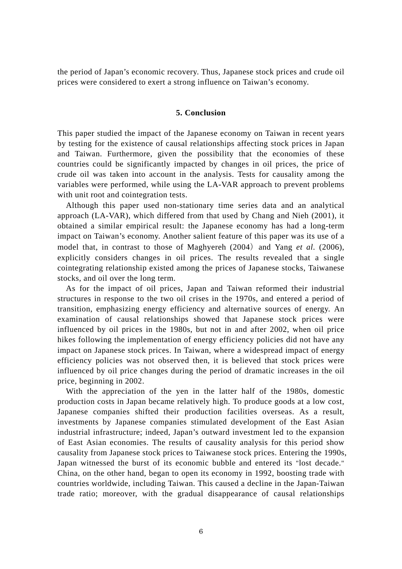the period of Japan's economic recovery. Thus, Japanese stock prices and crude oil prices were considered to exert a strong influence on Taiwan's economy.

#### **5. Conclusion**

This paper studied the impact of the Japanese economy on Taiwan in recent years by testing for the existence of causal relationships affecting stock prices in Japan and Taiwan. Furthermore, given the possibility that the economies of these countries could be significantly impacted by changes in oil prices, the price of crude oil was taken into account in the analysis. Tests for causality among the variables were performed, while using the LA-VAR approach to prevent problems with unit root and cointegration tests.

Although this paper used non-stationary time series data and an analytical approach (LA-VAR), which differed from that used by Chang and Nieh (2001), it obtained a similar empirical result: the Japanese economy has had a long-term impact on Taiwan's economy. Another salient feature of this paper was its use of a model that, in contrast to those of Maghyereh (2004) and Yang *et al.* (2006), explicitly considers changes in oil prices. The results revealed that a single cointegrating relationship existed among the prices of Japanese stocks, Taiwanese stocks, and oil over the long term.

As for the impact of oil prices, Japan and Taiwan reformed their industrial structures in response to the two oil crises in the 1970s, and entered a period of transition, emphasizing energy efficiency and alternative sources of energy. An examination of causal relationships showed that Japanese stock prices were influenced by oil prices in the 1980s, but not in and after 2002, when oil price hikes following the implementation of energy efficiency policies did not have any impact on Japanese stock prices. In Taiwan, where a widespread impact of energy efficiency policies was not observed then, it is believed that stock prices were influenced by oil price changes during the period of dramatic increases in the oil price, beginning in 2002.

With the appreciation of the yen in the latter half of the 1980s, domestic production costs in Japan became relatively high. To produce goods at a low cost, Japanese companies shifted their production facilities overseas. As a result, investments by Japanese companies stimulated development of the East Asian industrial infrastructure; indeed, Japan's outward investment led to the expansion of East Asian economies. The results of causality analysis for this period show causality from Japanese stock prices to Taiwanese stock prices. Entering the 1990s, Japan witnessed the burst of its economic bubble and entered its "lost decade." China, on the other hand, began to open its economy in 1992, boosting trade with countries worldwide, including Taiwan. This caused a decline in the Japan-Taiwan trade ratio; moreover, with the gradual disappearance of causal relationships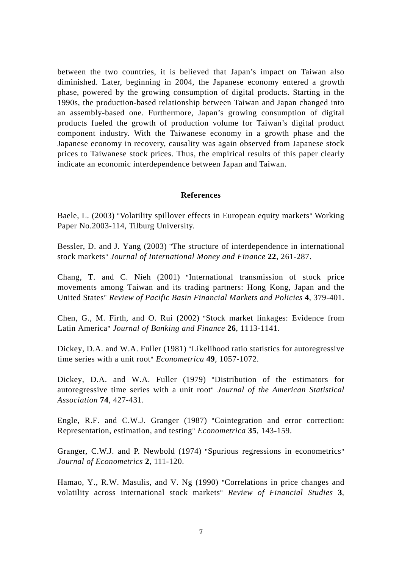between the two countries, it is believed that Japan's impact on Taiwan also diminished. Later, beginning in 2004, the Japanese economy entered a growth phase, powered by the growing consumption of digital products. Starting in the 1990s, the production-based relationship between Taiwan and Japan changed into an assembly-based one. Furthermore, Japan's growing consumption of digital products fueled the growth of production volume for Taiwan's digital product component industry. With the Taiwanese economy in a growth phase and the Japanese economy in recovery, causality was again observed from Japanese stock prices to Taiwanese stock prices. Thus, the empirical results of this paper clearly indicate an economic interdependence between Japan and Taiwan.

### **References**

Baele, L. (2003) "Volatility spillover effects in European equity markets" Working Paper No.2003-114, Tilburg University.

Bessler, D. and J. Yang (2003) "The structure of interdependence in international stock markets" *Journal of International Money and Finance* **22**, 261-287.

Chang, T. and C. Nieh (2001) "International transmission of stock price movements among Taiwan and its trading partners: Hong Kong, Japan and the United States" *Review of Pacific Basin Financial Markets and Policies* **4**, 379-401.

Chen, G., M. Firth, and O. Rui (2002) "Stock market linkages: Evidence from Latin America" *Journal of Banking and Finance* **26**, 1113-1141.

Dickey, D.A. and W.A. Fuller (1981) "Likelihood ratio statistics for autoregressive time series with a unit root" *Econometrica* **49**, 1057-1072.

Dickey, D.A. and W.A. Fuller (1979) "Distribution of the estimators for autoregressive time series with a unit root" *Journal of the American Statistical Association* **74**, 427-431.

Engle, R.F. and C.W.J. Granger (1987) "Cointegration and error correction: Representation, estimation, and testing" *Econometrica* **35**, 143-159.

Granger, C.W.J. and P. Newbold (1974) "Spurious regressions in econometrics" *Journal of Econometrics* **2**, 111-120.

Hamao, Y., R.W. Masulis, and V. Ng (1990) "Correlations in price changes and volatility across international stock markets" *Review of Financial Studies* **3**,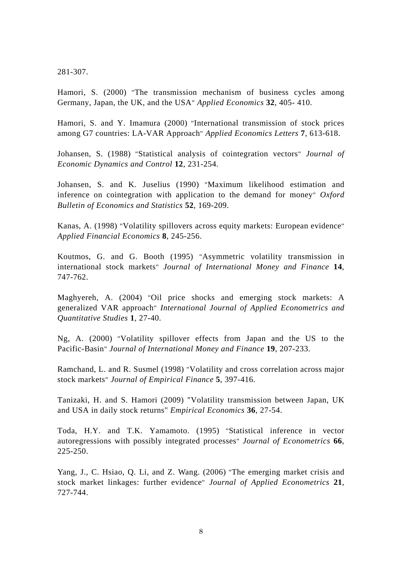281-307.

Hamori, S. (2000) "The transmission mechanism of business cycles among Germany, Japan, the UK, and the USA" *Applied Economics* **32**, 405- 410.

Hamori, S. and Y. Imamura (2000) "International transmission of stock prices among G7 countries: LA-VAR Approach" *Applied Economics Letters* **7**, 613-618.

Johansen, S. (1988) "Statistical analysis of cointegration vectors" *Journal of Economic Dynamics and Control* **12**, 231-254.

Johansen, S. and K. Juselius (1990) "Maximum likelihood estimation and inference on cointegration with application to the demand for money" *Oxford Bulletin of Economics and Statistics* **52**, 169-209.

Kanas, A. (1998) "Volatility spillovers across equity markets: European evidence" *Applied Financial Economics* **8**, 245-256.

Koutmos, G. and G. Booth (1995) "Asymmetric volatility transmission in international stock markets" *Journal of International Money and Finance* **14**, 747-762.

Maghyereh, A. (2004) "Oil price shocks and emerging stock markets: A generalized VAR approach" *International Journal of Applied Econometrics and Quantitative Studies* **1**, 27-40.

Ng, A. (2000) "Volatility spillover effects from Japan and the US to the Pacific-Basin" *Journal of International Money and Finance* **19**, 207-233.

Ramchand, L. and R. Susmel (1998) "Volatility and cross correlation across major stock markets" *Journal of Empirical Finance* **5**, 397-416.

Tanizaki, H. and S. Hamori (2009) "Volatility transmission between Japan, UK and USA in daily stock returns" *Empirical Economics* **36**, 27-54.

Toda, H.Y. and T.K. Yamamoto. (1995) "Statistical inference in vector autoregressions with possibly integrated processes" *Journal of Econometrics* **66**, 225-250.

Yang, J., C. Hsiao, Q. Li, and Z. Wang. (2006) "The emerging market crisis and stock market linkages: further evidence" *Journal of Applied Econometrics* **21**, 727-744.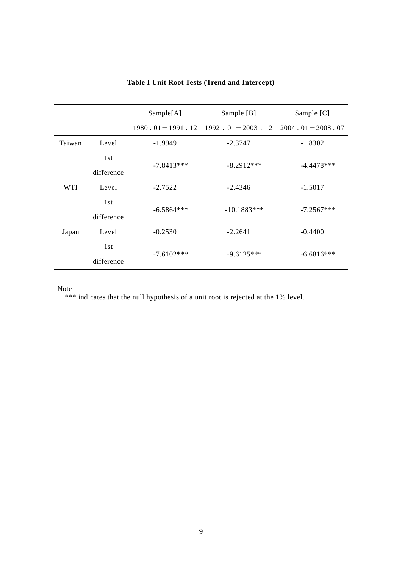|            |            | Sample[A]    | Sample [B]                                            | Sample [C]   |
|------------|------------|--------------|-------------------------------------------------------|--------------|
|            |            |              | $1980:01-1991:12$ $1992:01-2003:12$ $2004:01-2008:07$ |              |
| Taiwan     | Level      | $-1.9949$    | $-2.3747$                                             | $-1.8302$    |
|            | 1st        | $-7.8413***$ | $-8.2912***$                                          | $-4.4478***$ |
|            | difference |              |                                                       |              |
| <b>WTI</b> | Level      | $-2.7522$    | $-2.4346$                                             | $-1.5017$    |
|            | 1st        | $-6.5864***$ | $-10.1883***$                                         | $-7.2567***$ |
|            | difference |              |                                                       |              |
| Japan      | Level      | $-0.2530$    | $-2.2641$                                             | $-0.4400$    |
|            | 1st        | $-7.6102***$ | $-9.6125***$                                          | $-6.6816***$ |
|            | difference |              |                                                       |              |

## **Table I Unit Root Tests (Trend and Intercept)**

Note

\*\*\* indicates that the null hypothesis of a unit root is rejected at the 1% level.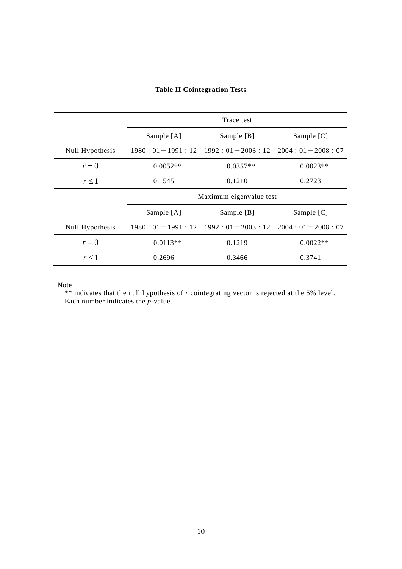### **Table II Cointegration Tests**

|                 | Trace test              |                                                       |              |
|-----------------|-------------------------|-------------------------------------------------------|--------------|
|                 | Sample $[A]$            | Sample $[B]$                                          | Sample $[C]$ |
| Null Hypothesis |                         | $1980:01-1991:12$ $1992:01-2003:12$ $2004:01-2008:07$ |              |
| $r=0$           | $0.0052**$              | $0.0357**$                                            | $0.0023**$   |
| $r \leq 1$      | 0.1545                  | 0.1210                                                | 0.2723       |
|                 | Maximum eigenvalue test |                                                       |              |
|                 | Sample [A]              | Sample [B]                                            | Sample [C]   |
| Null Hypothesis |                         | $1980:01-1991:12$ $1992:01-2003:12$ $2004:01-2008:07$ |              |
| $r=0$           | $0.0113**$              | 0.1219                                                | $0.0022**$   |
| $r \leq 1$      | 0.2696                  | 0.3466                                                | 0.3741       |

Note

\*\* indicates that the null hypothesis of *r* cointegrating vector is rejected at the 5% level. Each number indicates the *p*-value.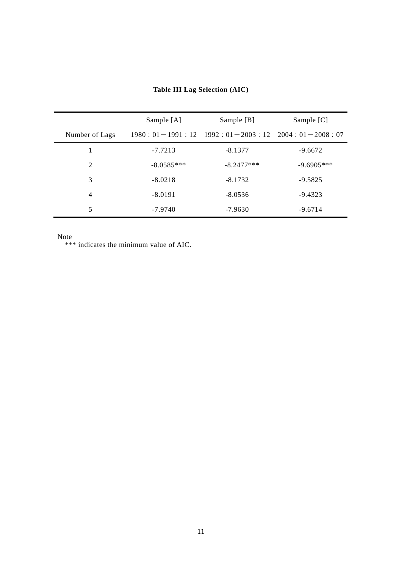|                | Sample [A]   | Sample [B]                                                  | Sample [C]   |
|----------------|--------------|-------------------------------------------------------------|--------------|
| Number of Lags |              | $1980: 01-1991: 12$ $1992: 01-2003: 12$ $2004: 01-2008: 07$ |              |
|                | $-7.7213$    | $-8.1377$                                                   | $-9.6672$    |
| 2              | $-8.0585***$ | $-8.2477***$                                                | $-9.6905***$ |
| 3              | $-8.0218$    | $-8.1732$                                                   | $-9.5825$    |
| $\overline{4}$ | $-8.0191$    | $-8.0536$                                                   | $-9.4323$    |
| 5              | $-7.9740$    | $-7.9630$                                                   | $-9.6714$    |

**Table III Lag Selection (AIC)** 

Note

\*\*\* indicates the minimum value of AIC.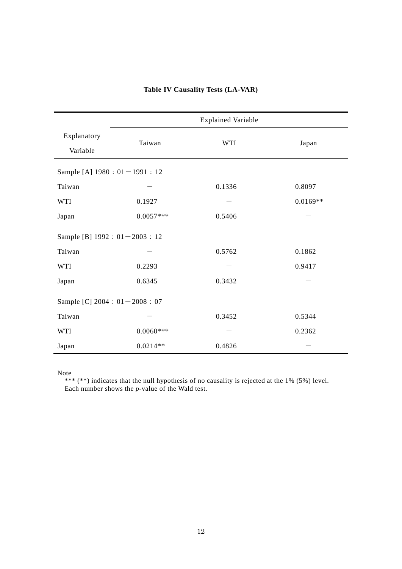|                                    | <b>Explained Variable</b> |            |            |  |  |  |
|------------------------------------|---------------------------|------------|------------|--|--|--|
| Explanatory<br>Variable            | Taiwan                    | <b>WTI</b> | Japan      |  |  |  |
| Sample [A] 1980 : 01-1991 : 12     |                           |            |            |  |  |  |
| Taiwan                             |                           | 0.1336     | 0.8097     |  |  |  |
| <b>WTI</b>                         | 0.1927                    |            | $0.0169**$ |  |  |  |
| Japan                              | $0.0057***$               | 0.5406     |            |  |  |  |
| Sample [B] $1992 : 01 - 2003 : 12$ |                           |            |            |  |  |  |
| Taiwan                             |                           | 0.5762     | 0.1862     |  |  |  |
| <b>WTI</b>                         | 0.2293                    |            | 0.9417     |  |  |  |
| Japan                              | 0.6345                    | 0.3432     |            |  |  |  |
| Sample [C] $2004 : 01 - 2008 : 07$ |                           |            |            |  |  |  |
| Taiwan                             |                           | 0.3452     | 0.5344     |  |  |  |
| <b>WTI</b>                         | $0.0060***$               |            | 0.2362     |  |  |  |
| Japan                              | $0.0214**$                | 0.4826     |            |  |  |  |

## **Table IV Causality Tests (LA-VAR)**

Note

 \*\*\* (\*\*) indicates that the null hypothesis of no causality is rejected at the 1% (5%) level. Each number shows the *p*-value of the Wald test.